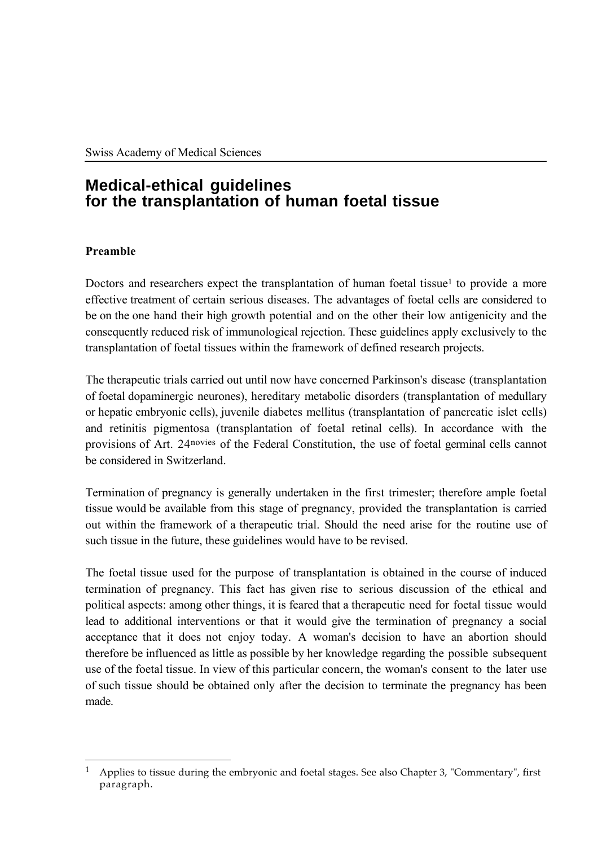# **Medical-ethical guidelines for the transplantation of human foetal tissue**

# **Preamble**

Doctors and researchers expect the transplantation of human foetal tissue<sup>1</sup> to provide a more effective treatment of certain serious diseases. The advantages of foetal cells are considered to be on the one hand their high growth potential and on the other their low antigenicity and the consequently reduced risk of immunological rejection. These guidelines apply exclusively to the transplantation of foetal tissues within the framework of defined research projects.

The therapeutic trials carried out until now have concerned Parkinson's disease (transplantation of foetal dopaminergic neurones), hereditary metabolic disorders (transplantation of medullary or hepatic embryonic cells), juvenile diabetes mellitus (transplantation of pancreatic islet cells) and retinitis pigmentosa (transplantation of foetal retinal cells). In accordance with the provisions of Art. 24novies of the Federal Constitution, the use of foetal germinal cells cannot be considered in Switzerland.

Termination of pregnancy is generally undertaken in the first trimester; therefore ample foetal tissue would be available from this stage of pregnancy, provided the transplantation is carried out within the framework of a therapeutic trial. Should the need arise for the routine use of such tissue in the future, these guidelines would have to be revised.

The foetal tissue used for the purpose of transplantation is obtained in the course of induced termination of pregnancy. This fact has given rise to serious discussion of the ethical and political aspects: among other things, it is feared that a therapeutic need for foetal tissue would lead to additional interventions or that it would give the termination of pregnancy a social acceptance that it does not enjoy today. A woman's decision to have an abortion should therefore be influenced as little as possible by her knowledge regarding the possible subsequent use of the foetal tissue. In view of this particular concern, the woman's consent to the later use of such tissue should be obtained only after the decision to terminate the pregnancy has been made.

 $\overline{a}$ <sup>1</sup> Applies to tissue during the embryonic and foetal stages. See also Chapter 3, "Commentary", first paragraph.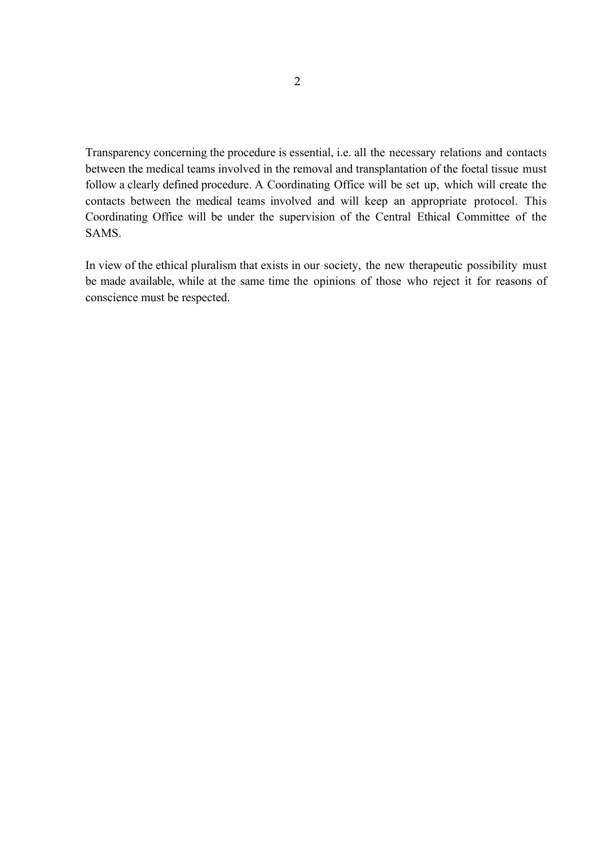Transparency concerning the procedure is essential, i.e. all the necessary relations and contacts between the medical teams involved in the removal and transplantation of the foetal tissue must follow a clearly defined procedure. A Coordinating Office will be set up, which will create the contacts between the medical teams involved and will keep an appropriate protocol. This Coordinating Office will be under the supervision of the Central Ethical Committee of the SAMS.

In view of the ethical pluralism that exists in our society, the new therapeutic possibility must be made available, while at the same time the opinions of those who reject it for reasons of conscience must be respected.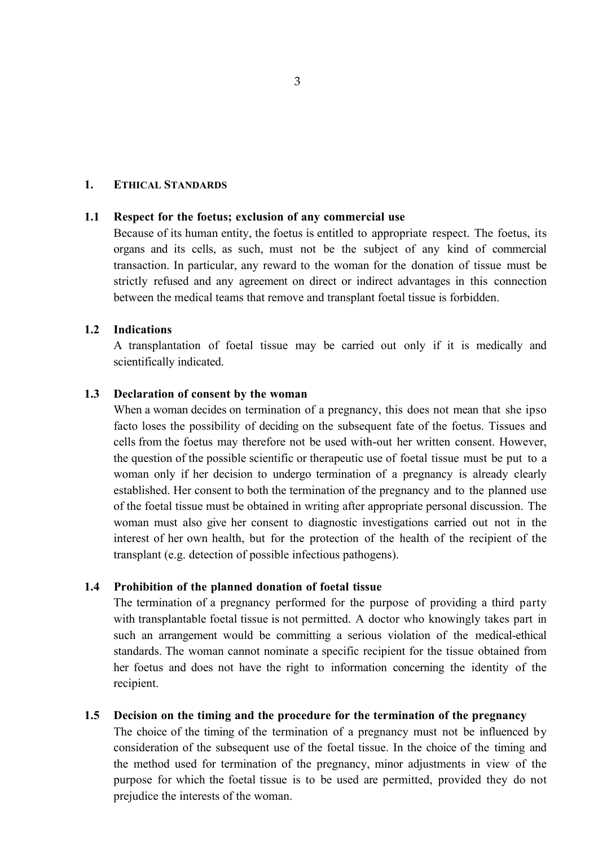#### **1. ETHICAL STANDARDS**

#### **1.1 Respect for the foetus; exclusion of any commercial use**

Because of its human entity, the foetus is entitled to appropriate respect. The foetus, its organs and its cells, as such, must not be the subject of any kind of commercial transaction. In particular, any reward to the woman for the donation of tissue must be strictly refused and any agreement on direct or indirect advantages in this connection between the medical teams that remove and transplant foetal tissue is forbidden.

#### **1.2 Indications**

A transplantation of foetal tissue may be carried out only if it is medically and scientifically indicated.

#### **1.3 Declaration of consent by the woman**

When a woman decides on termination of a pregnancy, this does not mean that she ipso facto loses the possibility of deciding on the subsequent fate of the foetus. Tissues and cells from the foetus may therefore not be used with-out her written consent. However, the question of the possible scientific or therapeutic use of foetal tissue must be put to a woman only if her decision to undergo termination of a pregnancy is already clearly established. Her consent to both the termination of the pregnancy and to the planned use of the foetal tissue must be obtained in writing after appropriate personal discussion. The woman must also give her consent to diagnostic investigations carried out not in the interest of her own health, but for the protection of the health of the recipient of the transplant (e.g. detection of possible infectious pathogens).

#### **1.4 Prohibition of the planned donation of foetal tissue**

The termination of a pregnancy performed for the purpose of providing a third party with transplantable foetal tissue is not permitted. A doctor who knowingly takes part in such an arrangement would be committing a serious violation of the medical-ethical standards. The woman cannot nominate a specific recipient for the tissue obtained from her foetus and does not have the right to information concerning the identity of the recipient.

#### **1.5 Decision on the timing and the procedure for the termination of the pregnancy**

The choice of the timing of the termination of a pregnancy must not be influenced by consideration of the subsequent use of the foetal tissue. In the choice of the timing and the method used for termination of the pregnancy, minor adjustments in view of the purpose for which the foetal tissue is to be used are permitted, provided they do not prejudice the interests of the woman.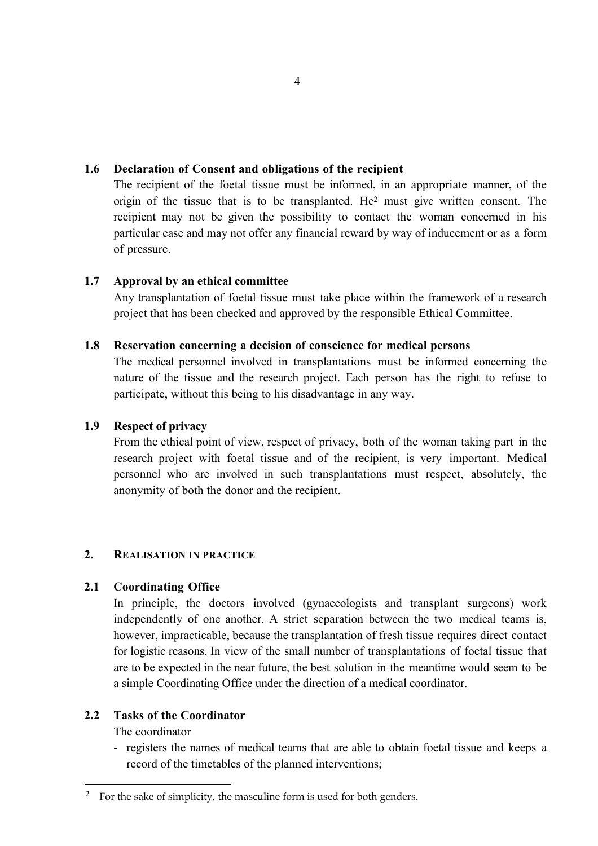# **1.6 Declaration of Consent and obligations of the recipient**

The recipient of the foetal tissue must be informed, in an appropriate manner, of the origin of the tissue that is to be transplanted. He2 must give written consent. The recipient may not be given the possibility to contact the woman concerned in his particular case and may not offer any financial reward by way of inducement or as a form of pressure.

# **1.7 Approval by an ethical committee**

Any transplantation of foetal tissue must take place within the framework of a research project that has been checked and approved by the responsible Ethical Committee.

# **1.8 Reservation concerning a decision of conscience for medical persons**

The medical personnel involved in transplantations must be informed concerning the nature of the tissue and the research project. Each person has the right to refuse to participate, without this being to his disadvantage in any way.

# **1.9 Respect of privacy**

From the ethical point of view, respect of privacy, both of the woman taking part in the research project with foetal tissue and of the recipient, is very important. Medical personnel who are involved in such transplantations must respect, absolutely, the anonymity of both the donor and the recipient.

## **2. REALISATION IN PRACTICE**

# **2.1 Coordinating Office**

In principle, the doctors involved (gynaecologists and transplant surgeons) work independently of one another. A strict separation between the two medical teams is, however, impracticable, because the transplantation of fresh tissue requires direct contact for logistic reasons. In view of the small number of transplantations of foetal tissue that are to be expected in the near future, the best solution in the meantime would seem to be a simple Coordinating Office under the direction of a medical coordinator.

## **2.2 Tasks of the Coordinator**

The coordinator

 $\overline{a}$ 

- registers the names of medical teams that are able to obtain foetal tissue and keeps a record of the timetables of the planned interventions;

<sup>&</sup>lt;sup>2</sup> For the sake of simplicity, the masculine form is used for both genders.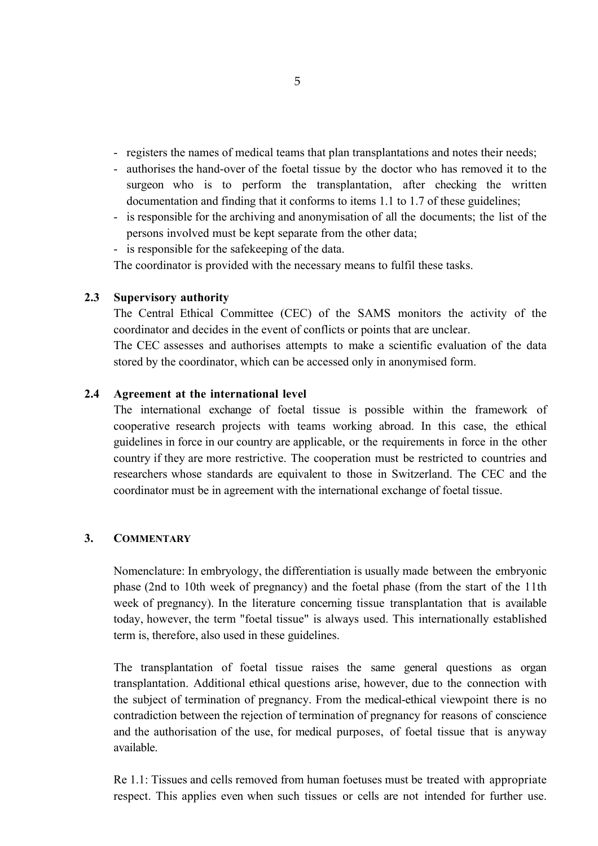- registers the names of medical teams that plan transplantations and notes their needs;
- authorises the hand-over of the foetal tissue by the doctor who has removed it to the surgeon who is to perform the transplantation, after checking the written documentation and finding that it conforms to items 1.1 to 1.7 of these guidelines;
- is responsible for the archiving and anonymisation of all the documents; the list of the persons involved must be kept separate from the other data;
- is responsible for the safekeeping of the data.

The coordinator is provided with the necessary means to fulfil these tasks.

## **2.3 Supervisory authority**

The Central Ethical Committee (CEC) of the SAMS monitors the activity of the coordinator and decides in the event of conflicts or points that are unclear.

The CEC assesses and authorises attempts to make a scientific evaluation of the data stored by the coordinator, which can be accessed only in anonymised form.

## **2.4 Agreement at the international level**

The international exchange of foetal tissue is possible within the framework of cooperative research projects with teams working abroad. In this case, the ethical guidelines in force in our country are applicable, or the requirements in force in the other country if they are more restrictive. The cooperation must be restricted to countries and researchers whose standards are equivalent to those in Switzerland. The CEC and the coordinator must be in agreement with the international exchange of foetal tissue.

### **3. COMMENTARY**

Nomenclature: In embryology, the differentiation is usually made between the embryonic phase (2nd to 10th week of pregnancy) and the foetal phase (from the start of the 11th week of pregnancy). In the literature concerning tissue transplantation that is available today, however, the term "foetal tissue" is always used. This internationally established term is, therefore, also used in these guidelines.

The transplantation of foetal tissue raises the same general questions as organ transplantation. Additional ethical questions arise, however, due to the connection with the subject of termination of pregnancy. From the medical-ethical viewpoint there is no contradiction between the rejection of termination of pregnancy for reasons of conscience and the authorisation of the use, for medical purposes, of foetal tissue that is anyway available.

Re 1.1: Tissues and cells removed from human foetuses must be treated with appropriate respect. This applies even when such tissues or cells are not intended for further use.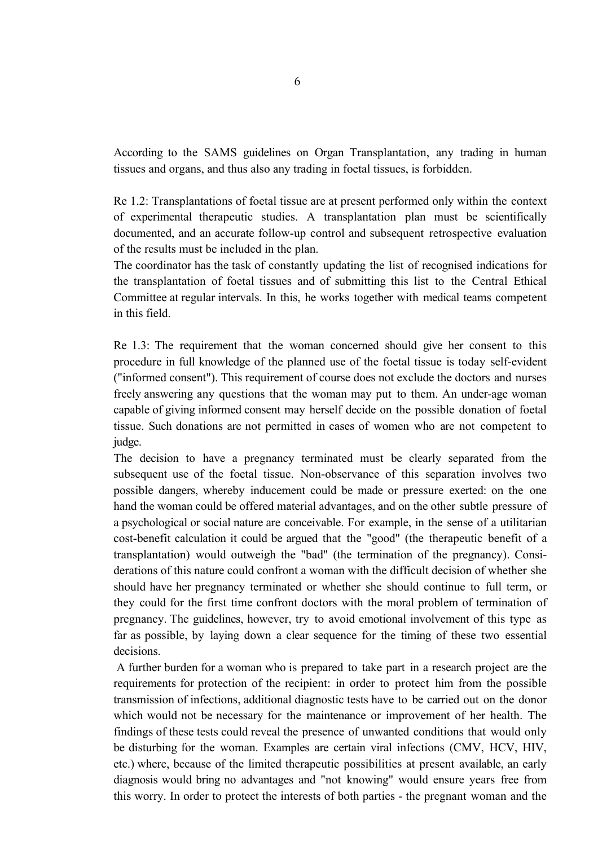According to the SAMS guidelines on Organ Transplantation, any trading in human tissues and organs, and thus also any trading in foetal tissues, is forbidden.

Re 1.2: Transplantations of foetal tissue are at present performed only within the context of experimental therapeutic studies. A transplantation plan must be scientifically documented, and an accurate follow-up control and subsequent retrospective evaluation of the results must be included in the plan.

The coordinator has the task of constantly updating the list of recognised indications for the transplantation of foetal tissues and of submitting this list to the Central Ethical Committee at regular intervals. In this, he works together with medical teams competent in this field.

Re 1.3: The requirement that the woman concerned should give her consent to this procedure in full knowledge of the planned use of the foetal tissue is today self-evident ("informed consent"). This requirement of course does not exclude the doctors and nurses freely answering any questions that the woman may put to them. An under-age woman capable of giving informed consent may herself decide on the possible donation of foetal tissue. Such donations are not permitted in cases of women who are not competent to judge.

The decision to have a pregnancy terminated must be clearly separated from the subsequent use of the foetal tissue. Non-observance of this separation involves two possible dangers, whereby inducement could be made or pressure exerted: on the one hand the woman could be offered material advantages, and on the other subtle pressure of a psychological or social nature are conceivable. For example, in the sense of a utilitarian cost-benefit calculation it could be argued that the "good" (the therapeutic benefit of a transplantation) would outweigh the "bad" (the termination of the pregnancy). Considerations of this nature could confront a woman with the difficult decision of whether she should have her pregnancy terminated or whether she should continue to full term, or they could for the first time confront doctors with the moral problem of termination of pregnancy. The guidelines, however, try to avoid emotional involvement of this type as far as possible, by laying down a clear sequence for the timing of these two essential decisions.

 A further burden for a woman who is prepared to take part in a research project are the requirements for protection of the recipient: in order to protect him from the possible transmission of infections, additional diagnostic tests have to be carried out on the donor which would not be necessary for the maintenance or improvement of her health. The findings of these tests could reveal the presence of unwanted conditions that would only be disturbing for the woman. Examples are certain viral infections (CMV, HCV, HIV, etc.) where, because of the limited therapeutic possibilities at present available, an early diagnosis would bring no advantages and "not knowing" would ensure years free from this worry. In order to protect the interests of both parties - the pregnant woman and the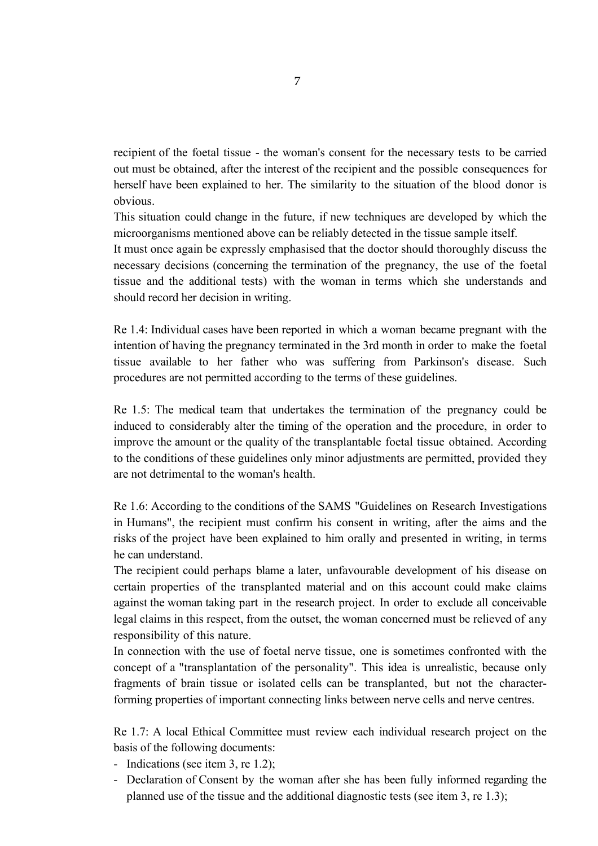recipient of the foetal tissue - the woman's consent for the necessary tests to be carried out must be obtained, after the interest of the recipient and the possible consequences for herself have been explained to her. The similarity to the situation of the blood donor is obvious.

This situation could change in the future, if new techniques are developed by which the microorganisms mentioned above can be reliably detected in the tissue sample itself.

It must once again be expressly emphasised that the doctor should thoroughly discuss the necessary decisions (concerning the termination of the pregnancy, the use of the foetal tissue and the additional tests) with the woman in terms which she understands and should record her decision in writing.

Re 1.4: Individual cases have been reported in which a woman became pregnant with the intention of having the pregnancy terminated in the 3rd month in order to make the foetal tissue available to her father who was suffering from Parkinson's disease. Such procedures are not permitted according to the terms of these guidelines.

Re 1.5: The medical team that undertakes the termination of the pregnancy could be induced to considerably alter the timing of the operation and the procedure, in order to improve the amount or the quality of the transplantable foetal tissue obtained. According to the conditions of these guidelines only minor adjustments are permitted, provided they are not detrimental to the woman's health.

Re 1.6: According to the conditions of the SAMS "Guidelines on Research Investigations in Humans", the recipient must confirm his consent in writing, after the aims and the risks of the project have been explained to him orally and presented in writing, in terms he can understand.

The recipient could perhaps blame a later, unfavourable development of his disease on certain properties of the transplanted material and on this account could make claims against the woman taking part in the research project. In order to exclude all conceivable legal claims in this respect, from the outset, the woman concerned must be relieved of any responsibility of this nature.

In connection with the use of foetal nerve tissue, one is sometimes confronted with the concept of a "transplantation of the personality". This idea is unrealistic, because only fragments of brain tissue or isolated cells can be transplanted, but not the characterforming properties of important connecting links between nerve cells and nerve centres.

Re 1.7: A local Ethical Committee must review each individual research project on the basis of the following documents:

- Indications (see item 3, re 1.2);
- Declaration of Consent by the woman after she has been fully informed regarding the planned use of the tissue and the additional diagnostic tests (see item 3, re 1.3);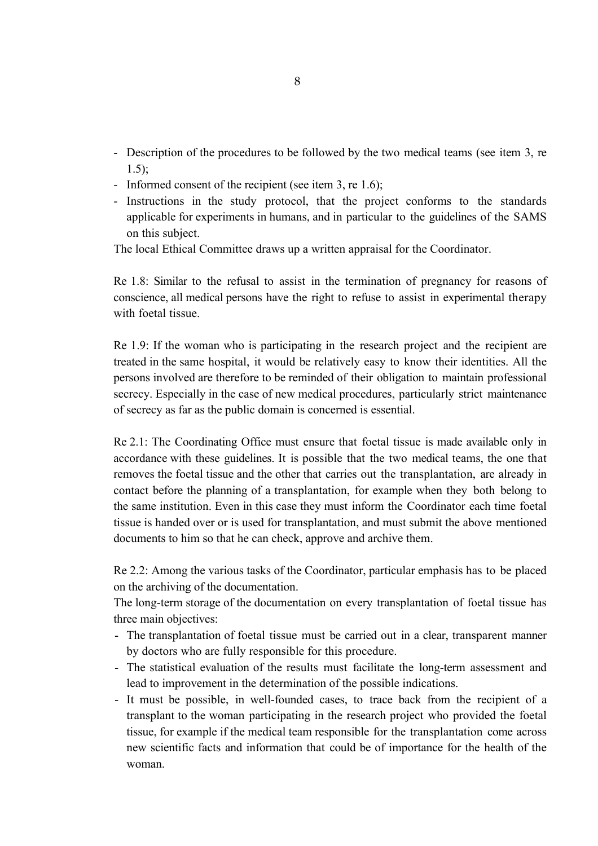- Description of the procedures to be followed by the two medical teams (see item 3, re 1.5);
- Informed consent of the recipient (see item 3, re 1.6);
- Instructions in the study protocol, that the project conforms to the standards applicable for experiments in humans, and in particular to the guidelines of the SAMS on this subject.

The local Ethical Committee draws up a written appraisal for the Coordinator.

Re 1.8: Similar to the refusal to assist in the termination of pregnancy for reasons of conscience, all medical persons have the right to refuse to assist in experimental therapy with foetal tissue.

Re 1.9: If the woman who is participating in the research project and the recipient are treated in the same hospital, it would be relatively easy to know their identities. All the persons involved are therefore to be reminded of their obligation to maintain professional secrecy. Especially in the case of new medical procedures, particularly strict maintenance of secrecy as far as the public domain is concerned is essential.

Re 2.1: The Coordinating Office must ensure that foetal tissue is made available only in accordance with these guidelines. It is possible that the two medical teams, the one that removes the foetal tissue and the other that carries out the transplantation, are already in contact before the planning of a transplantation, for example when they both belong to the same institution. Even in this case they must inform the Coordinator each time foetal tissue is handed over or is used for transplantation, and must submit the above mentioned documents to him so that he can check, approve and archive them.

Re 2.2: Among the various tasks of the Coordinator, particular emphasis has to be placed on the archiving of the documentation.

The long-term storage of the documentation on every transplantation of foetal tissue has three main objectives:

- The transplantation of foetal tissue must be carried out in a clear, transparent manner by doctors who are fully responsible for this procedure.
- The statistical evaluation of the results must facilitate the long-term assessment and lead to improvement in the determination of the possible indications.
- It must be possible, in well-founded cases, to trace back from the recipient of a transplant to the woman participating in the research project who provided the foetal tissue, for example if the medical team responsible for the transplantation come across new scientific facts and information that could be of importance for the health of the woman.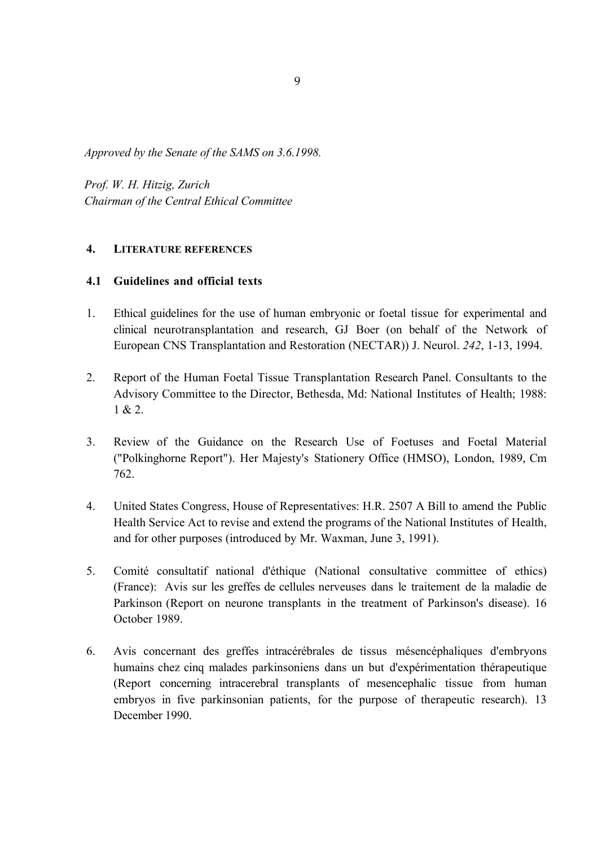*Approved by the Senate of the SAMS on 3.6.1998.*

*Prof. W. H. Hitzig, Zurich Chairman of the Central Ethical Committee*

## **4. LITERATURE REFERENCES**

## **4.1 Guidelines and official texts**

- 1. Ethical guidelines for the use of human embryonic or foetal tissue for experimental and clinical neurotransplantation and research, GJ Boer (on behalf of the Network of European CNS Transplantation and Restoration (NECTAR)) J. Neurol. *242*, 1-13, 1994.
- 2. Report of the Human Foetal Tissue Transplantation Research Panel. Consultants to the Advisory Committee to the Director, Bethesda, Md: National Institutes of Health; 1988:  $1 & 2.$
- 3. Review of the Guidance on the Research Use of Foetuses and Foetal Material ("Polkinghorne Report"). Her Majesty's Stationery Office (HMSO), London, 1989, Cm 762.
- 4. United States Congress, House of Representatives: H.R. 2507 A Bill to amend the Public Health Service Act to revise and extend the programs of the National Institutes of Health, and for other purposes (introduced by Mr. Waxman, June 3, 1991).
- 5. Comité consultatif national d'éthique (National consultative committee of ethics) (France): Avis sur les greffes de cellules nerveuses dans le traitement de la maladie de Parkinson (Report on neurone transplants in the treatment of Parkinson's disease). 16 October 1989.
- 6. Avis concernant des greffes intracérébrales de tissus mésencéphaliques d'embryons humains chez cinq malades parkinsoniens dans un but d'expérimentation thérapeutique (Report concerning intracerebral transplants of mesencephalic tissue from human embryos in five parkinsonian patients, for the purpose of therapeutic research). 13 December 1990.